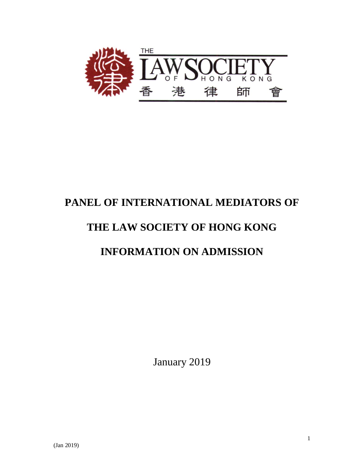

# **PANEL OF INTERNATIONAL MEDIATORS OF**

# **THE LAW SOCIETY OF HONG KONG**

# **INFORMATION ON ADMISSION**

January 2019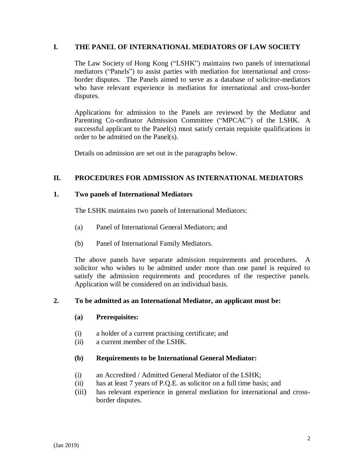#### **I. THE PANEL OF INTERNATIONAL MEDIATORS OF LAW SOCIETY**

The Law Society of Hong Kong ("LSHK") maintains two panels of international mediators ("Panels") to assist parties with mediation for international and crossborder disputes. The Panels aimed to serve as a database of solicitor-mediators who have relevant experience in mediation for international and cross-border disputes.

Applications for admission to the Panels are reviewed by the Mediator and Parenting Co-ordinator Admission Committee ("MPCAC") of the LSHK. A successful applicant to the Panel(s) must satisfy certain requisite qualifications in order to be admitted on the Panel(s).

Details on admission are set out in the paragraphs below.

### **II. PROCEDURES FOR ADMISSION AS INTERNATIONAL MEDIATORS**

#### **1. Two panels of International Mediators**

The LSHK maintains two panels of International Mediators:

- (a) Panel of International General Mediators; and
- (b) Panel of International Family Mediators.

The above panels have separate admission requirements and procedures. A solicitor who wishes to be admitted under more than one panel is required to satisfy the admission requirements and procedures of the respective panels. Application will be considered on an individual basis.

#### **2. To be admitted as an International Mediator, an applicant must be:**

#### **(a) Prerequisites:**

- (i) a holder of a current practising certificate; and
- (ii) a current member of the LSHK.

#### **(b) Requirements to be International General Mediator:**

- (i) an Accredited / Admitted General Mediator of the LSHK;
- (ii) has at least 7 years of P.Q.E. as solicitor on a full time basis; and
- (iii) has relevant experience in general mediation for international and crossborder disputes.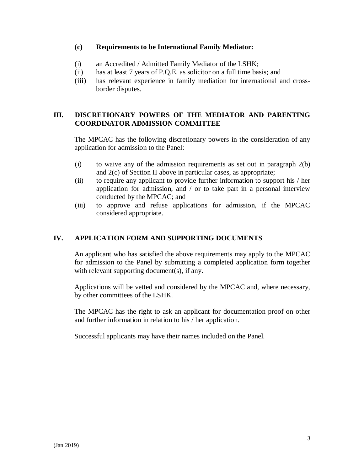#### **(c) Requirements to be International Family Mediator:**

- (i) an Accredited / Admitted Family Mediator of the LSHK;
- (ii) has at least 7 years of P.Q.E. as solicitor on a full time basis; and
- (iii) has relevant experience in family mediation for international and crossborder disputes.

## **III. DISCRETIONARY POWERS OF THE MEDIATOR AND PARENTING COORDINATOR ADMISSION COMMITTEE**

The MPCAC has the following discretionary powers in the consideration of any application for admission to the Panel:

- (i) to waive any of the admission requirements as set out in paragraph 2(b) and 2(c) of Section II above in particular cases, as appropriate;
- (ii) to require any applicant to provide further information to support his / her application for admission, and / or to take part in a personal interview conducted by the MPCAC; and
- (iii) to approve and refuse applications for admission, if the MPCAC considered appropriate.

# **IV. APPLICATION FORM AND SUPPORTING DOCUMENTS**

An applicant who has satisfied the above requirements may apply to the MPCAC for admission to the Panel by submitting a completed application form together with relevant supporting document(s), if any.

Applications will be vetted and considered by the MPCAC and, where necessary, by other committees of the LSHK.

The MPCAC has the right to ask an applicant for documentation proof on other and further information in relation to his / her application.

Successful applicants may have their names included on the Panel.